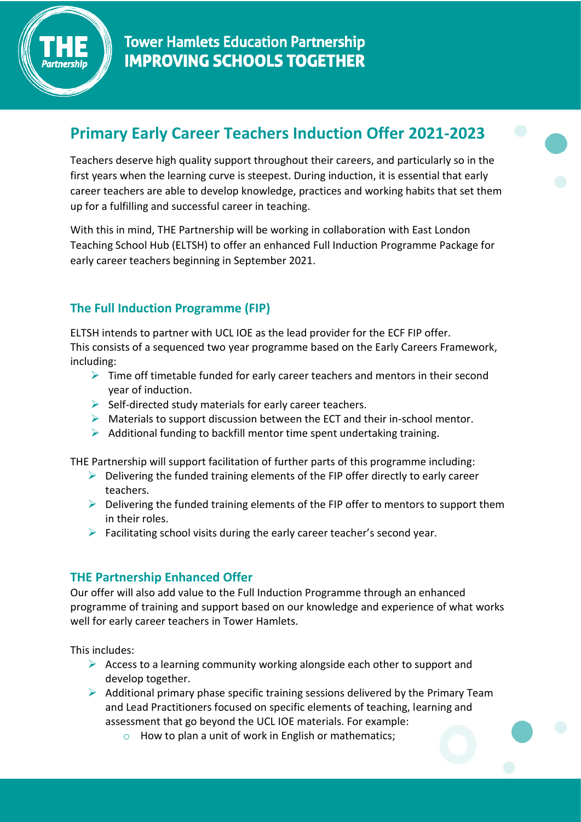

# **Primary Early Career Teachers Induction Offer 2021-2023**

Teachers deserve high quality support throughout their careers, and particularly so in the first years when the learning curve is steepest. During induction, it is essential that early career teachers are able to develop knowledge, practices and working habits that set them up for a fulfilling and successful career in teaching.

With this in mind, THE Partnership will be working in collaboration with East London Teaching School Hub (ELTSH) to offer an enhanced Full Induction Programme Package for early career teachers beginning in September 2021.

# **The Full Induction Programme (FIP)**

ELTSH intends to partner with UCL IOE as the lead provider for the ECF FIP offer. This consists of a sequenced two year programme based on the Early Careers Framework, including:

- $\triangleright$  Time off timetable funded for early career teachers and mentors in their second year of induction.
- $\triangleright$  Self-directed study materials for early career teachers.
- $\triangleright$  Materials to support discussion between the ECT and their in-school mentor.
- $\triangleright$  Additional funding to backfill mentor time spent undertaking training.

THE Partnership will support facilitation of further parts of this programme including:

- $\triangleright$  Delivering the funded training elements of the FIP offer directly to early career teachers.
- $\triangleright$  Delivering the funded training elements of the FIP offer to mentors to support them in their roles.
- $\triangleright$  Facilitating school visits during the early career teacher's second year.

## **THE Partnership Enhanced Offer**

Our offer will also add value to the Full Induction Programme through an enhanced programme of training and support based on our knowledge and experience of what works well for early career teachers in Tower Hamlets.

This includes:

- $\triangleright$  Access to a learning community working alongside each other to support and develop together.
- $\triangleright$  Additional primary phase specific training sessions delivered by the Primary Team and Lead Practitioners focused on specific elements of teaching, learning and assessment that go beyond the UCL IOE materials. For example:
	- $\circ$  How to plan a unit of work in English or mathematics;